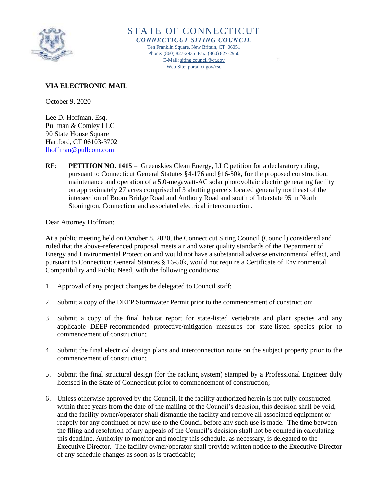

STATE OF CONNECTICUT *CONNECTICUT SITING COUNCIL* Ten Franklin Square, New Britain, CT 06051 Phone: (860) 827-2935 Fax: (860) 827-2950 E-Mail[: siting.council@ct.gov](mailto:siting.council@ct.gov) Web Site: portal.ct.gov/csc

# **VIA ELECTRONIC MAIL**

October 9, 2020

Lee D. Hoffman, Esq. Pullman & Comley LLC 90 State House Square Hartford, CT 06103-3702 [lhoffman@pullcom.com](mailto:lhoffman@pullcom.com)

RE: **PETITION NO. 1415** – Greenskies Clean Energy, LLC petition for a declaratory ruling, pursuant to Connecticut General Statutes §4-176 and §16-50k, for the proposed construction, maintenance and operation of a 5.0-megawatt-AC solar photovoltaic electric generating facility on approximately 27 acres comprised of 3 abutting parcels located generally northeast of the intersection of Boom Bridge Road and Anthony Road and south of Interstate 95 in North Stonington, Connecticut and associated electrical interconnection.

Dear Attorney Hoffman:

At a public meeting held on October 8, 2020, the Connecticut Siting Council (Council) considered and ruled that the above-referenced proposal meets air and water quality standards of the Department of Energy and Environmental Protection and would not have a substantial adverse environmental effect, and pursuant to Connecticut General Statutes § 16-50k, would not require a Certificate of Environmental Compatibility and Public Need, with the following conditions:

- 1. Approval of any project changes be delegated to Council staff;
- 2. Submit a copy of the DEEP Stormwater Permit prior to the commencement of construction;
- 3. Submit a copy of the final habitat report for state-listed vertebrate and plant species and any applicable DEEP-recommended protective/mitigation measures for state-listed species prior to commencement of construction;
- 4. Submit the final electrical design plans and interconnection route on the subject property prior to the commencement of construction;
- 5. Submit the final structural design (for the racking system) stamped by a Professional Engineer duly licensed in the State of Connecticut prior to commencement of construction;
- 6. Unless otherwise approved by the Council, if the facility authorized herein is not fully constructed within three years from the date of the mailing of the Council's decision, this decision shall be void, and the facility owner/operator shall dismantle the facility and remove all associated equipment or reapply for any continued or new use to the Council before any such use is made. The time between the filing and resolution of any appeals of the Council's decision shall not be counted in calculating this deadline. Authority to monitor and modify this schedule, as necessary, is delegated to the Executive Director. The facility owner/operator shall provide written notice to the Executive Director of any schedule changes as soon as is practicable;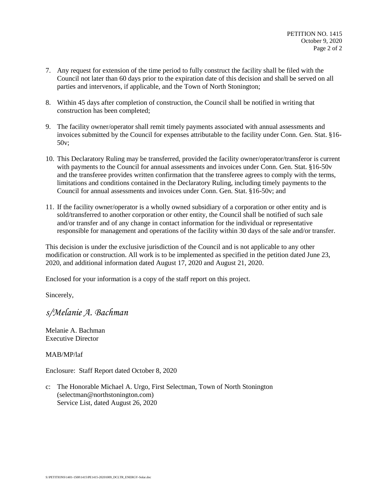- 7. Any request for extension of the time period to fully construct the facility shall be filed with the Council not later than 60 days prior to the expiration date of this decision and shall be served on all parties and intervenors, if applicable, and the Town of North Stonington;
- 8. Within 45 days after completion of construction, the Council shall be notified in writing that construction has been completed;
- 9. The facility owner/operator shall remit timely payments associated with annual assessments and invoices submitted by the Council for expenses attributable to the facility under Conn. Gen. Stat. §16- 50v;
- 10. This Declaratory Ruling may be transferred, provided the facility owner/operator/transferor is current with payments to the Council for annual assessments and invoices under Conn. Gen. Stat. §16-50v and the transferee provides written confirmation that the transferee agrees to comply with the terms, limitations and conditions contained in the Declaratory Ruling, including timely payments to the Council for annual assessments and invoices under Conn. Gen. Stat. §16-50v; and
- 11. If the facility owner/operator is a wholly owned subsidiary of a corporation or other entity and is sold/transferred to another corporation or other entity, the Council shall be notified of such sale and/or transfer and of any change in contact information for the individual or representative responsible for management and operations of the facility within 30 days of the sale and/or transfer.

This decision is under the exclusive jurisdiction of the Council and is not applicable to any other modification or construction. All work is to be implemented as specified in the petition dated June 23, 2020, and additional information dated August 17, 2020 and August 21, 2020.

Enclosed for your information is a copy of the staff report on this project.

Sincerely,

*s/Melanie A. Bachman*

Melanie A. Bachman Executive Director

MAB/MP/laf

Enclosure: Staff Report dated October 8, 2020

c: The Honorable Michael A. Urgo, First Selectman, Town of North Stonington (selectman@northstonington.com) Service List, dated August 26, 2020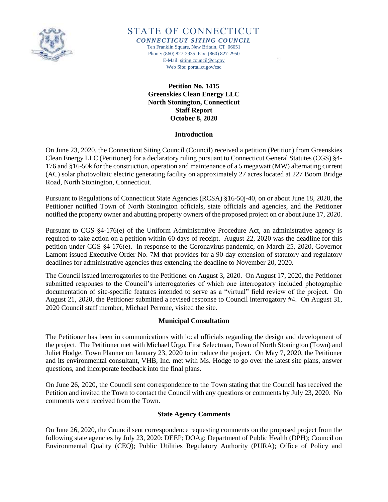

STATE OF CONNECTICUT

*CONNECTICUT SITING COUNCIL* Ten Franklin Square, New Britain, CT 06051 Phone: (860) 827-2935 Fax: (860) 827-2950 E-Mail[: siting.council@ct.gov](mailto:siting.council@ct.gov) Web Site: portal.ct.gov/csc

> **Petition No. 1415 Greenskies Clean Energy LLC North Stonington, Connecticut Staff Report October 8, 2020**

#### **Introduction**

On June 23, 2020, the Connecticut Siting Council (Council) received a petition (Petition) from Greenskies Clean Energy LLC (Petitioner) for a declaratory ruling pursuant to Connecticut General Statutes (CGS) §4- 176 and §16-50k for the construction, operation and maintenance of a 5 megawatt (MW) alternating current (AC) solar photovoltaic electric generating facility on approximately 27 acres located at 227 Boom Bridge Road, North Stonington, Connecticut.

Pursuant to Regulations of Connecticut State Agencies (RCSA) §16-50j-40, on or about June 18, 2020, the Petitioner notified Town of North Stonington officials, state officials and agencies, and the Petitioner notified the property owner and abutting property owners of the proposed project on or about June 17, 2020.

Pursuant to CGS §4-176(e) of the Uniform Administrative Procedure Act, an administrative agency is required to take action on a petition within 60 days of receipt. August 22, 2020 was the deadline for this petition under CGS §4-176(e). In response to the Coronavirus pandemic, on March 25, 2020, Governor Lamont issued Executive Order No. 7M that provides for a 90-day extension of statutory and regulatory deadlines for administrative agencies thus extending the deadline to November 20, 2020.

The Council issued interrogatories to the Petitioner on August 3, 2020. On August 17, 2020, the Petitioner submitted responses to the Council's interrogatories of which one interrogatory included photographic documentation of site-specific features intended to serve as a "virtual" field review of the project. On August 21, 2020, the Petitioner submitted a revised response to Council interrogatory #4. On August 31, 2020 Council staff member, Michael Perrone, visited the site.

# **Municipal Consultation**

The Petitioner has been in communications with local officials regarding the design and development of the project. The Petitioner met with Michael Urgo, First Selectman, Town of North Stonington (Town) and Juliet Hodge, Town Planner on January 23, 2020 to introduce the project. On May 7, 2020, the Petitioner and its environmental consultant, VHB, Inc. met with Ms. Hodge to go over the latest site plans, answer questions, and incorporate feedback into the final plans.

On June 26, 2020, the Council sent correspondence to the Town stating that the Council has received the Petition and invited the Town to contact the Council with any questions or comments by July 23, 2020. No comments were received from the Town.

# **State Agency Comments**

On June 26, 2020, the Council sent correspondence requesting comments on the proposed project from the following state agencies by July 23, 2020: DEEP; DOAg; Department of Public Health (DPH); Council on Environmental Quality (CEQ); Public Utilities Regulatory Authority (PURA); Office of Policy and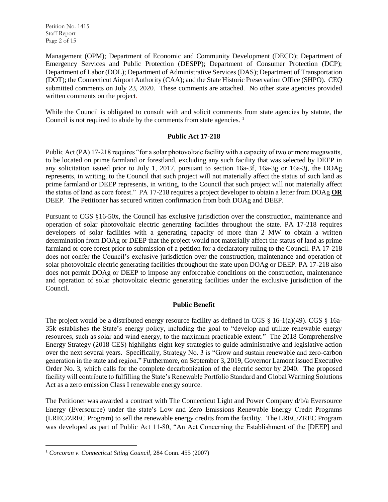Petition No. 1415 Staff Report Page 2 of 15

Management (OPM); Department of Economic and Community Development (DECD); Department of Emergency Services and Public Protection (DESPP); Department of Consumer Protection (DCP); Department of Labor (DOL); Department of Administrative Services (DAS); Department of Transportation (DOT); the Connecticut Airport Authority (CAA); and the State Historic Preservation Office (SHPO). CEQ submitted comments on July 23, 2020. These comments are attached. No other state agencies provided written comments on the project.

While the Council is obligated to consult with and solicit comments from state agencies by statute, the Council is not required to abide by the comments from state agencies.<sup>1</sup>

# **Public Act 17-218**

Public Act (PA) 17-218 requires "for a solar photovoltaic facility with a capacity of two or more megawatts, to be located on prime farmland or forestland, excluding any such facility that was selected by DEEP in any solicitation issued prior to July 1, 2017, pursuant to section 16a-3f, 16a-3g or 16a-3j, the DOAg represents, in writing, to the Council that such project will not materially affect the status of such land as prime farmland or DEEP represents, in writing, to the Council that such project will not materially affect the status of land as core forest." PA 17-218 requires a project developer to obtain a letter from DOAg **OR** DEEP. The Petitioner has secured written confirmation from both DOAg and DEEP.

Pursuant to CGS §16-50x, the Council has exclusive jurisdiction over the construction, maintenance and operation of solar photovoltaic electric generating facilities throughout the state. PA 17-218 requires developers of solar facilities with a generating capacity of more than 2 MW to obtain a written determination from DOAg or DEEP that the project would not materially affect the status of land as prime farmland or core forest prior to submission of a petition for a declaratory ruling to the Council. PA 17-218 does not confer the Council's exclusive jurisdiction over the construction, maintenance and operation of solar photovoltaic electric generating facilities throughout the state upon DOAg or DEEP. PA 17-218 also does not permit DOAg or DEEP to impose any enforceable conditions on the construction, maintenance and operation of solar photovoltaic electric generating facilities under the exclusive jurisdiction of the Council.

# **Public Benefit**

The project would be a distributed energy resource facility as defined in CGS § 16-1(a)(49). CGS § 16a-35k establishes the State's energy policy, including the goal to "develop and utilize renewable energy resources, such as solar and wind energy, to the maximum practicable extent." The 2018 Comprehensive Energy Strategy (2018 CES) highlights eight key strategies to guide administrative and legislative action over the next several years. Specifically, Strategy No. 3 is "Grow and sustain renewable and zero-carbon generation in the state and region." Furthermore, on September 3, 2019, Governor Lamont issued Executive Order No. 3, which calls for the complete decarbonization of the electric sector by 2040. The proposed facility will contribute to fulfilling the State's Renewable Portfolio Standard and Global Warming Solutions Act as a zero emission Class I renewable energy source.

The Petitioner was awarded a contract with The Connecticut Light and Power Company d/b/a Eversource Energy (Eversource) under the state's Low and Zero Emissions Renewable Energy Credit Programs (LREC/ZREC Program) to sell the renewable energy credits from the facility. The LREC/ZREC Program was developed as part of Public Act 11-80, "An Act Concerning the Establishment of the [DEEP] and

 $\overline{\phantom{a}}$ <sup>1</sup> *Corcoran v. Connecticut Siting Council*, 284 Conn. 455 (2007)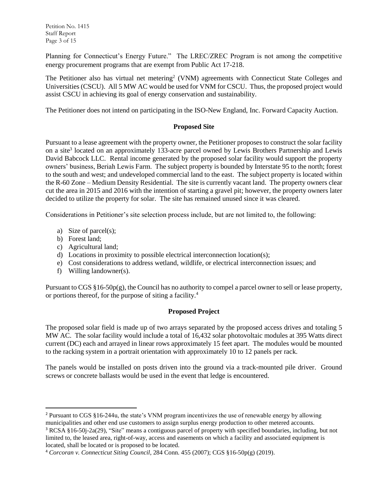Planning for Connecticut's Energy Future." The LREC/ZREC Program is not among the competitive energy procurement programs that are exempt from Public Act 17-218.

The Petitioner also has virtual net metering<sup>2</sup> (VNM) agreements with Connecticut State Colleges and Universities (CSCU). All 5 MW AC would be used for VNM for CSCU. Thus, the proposed project would assist CSCU in achieving its goal of energy conservation and sustainability.

The Petitioner does not intend on participating in the ISO-New England, Inc. Forward Capacity Auction.

# **Proposed Site**

Pursuant to a lease agreement with the property owner, the Petitioner proposes to construct the solar facility on a site<sup>3</sup> located on an approximately 133-acre parcel owned by Lewis Brothers Partnership and Lewis David Babcock LLC. Rental income generated by the proposed solar facility would support the property owners' business, Beriah Lewis Farm. The subject property is bounded by Interstate 95 to the north; forest to the south and west; and undeveloped commercial land to the east. The subject property is located within the R-60 Zone – Medium Density Residential. The site is currently vacant land. The property owners clear cut the area in 2015 and 2016 with the intention of starting a gravel pit; however, the property owners later decided to utilize the property for solar. The site has remained unused since it was cleared.

Considerations in Petitioner's site selection process include, but are not limited to, the following:

- a) Size of parcel(s);
- b) Forest land;

 $\overline{\phantom{a}}$ 

- c) Agricultural land;
- d) Locations in proximity to possible electrical interconnection location(s);
- e) Cost considerations to address wetland, wildlife, or electrical interconnection issues; and
- f) Willing landowner(s).

Pursuant to CGS §16-50p(g), the Council has no authority to compel a parcel owner to sell or lease property, or portions thereof, for the purpose of siting a facility.<sup>4</sup>

# **Proposed Project**

The proposed solar field is made up of two arrays separated by the proposed access drives and totaling 5 MW AC. The solar facility would include a total of 16,432 solar photovoltaic modules at 395 Watts direct current (DC) each and arrayed in linear rows approximately 15 feet apart. The modules would be mounted to the racking system in a portrait orientation with approximately 10 to 12 panels per rack.

The panels would be installed on posts driven into the ground via a track-mounted pile driver. Ground screws or concrete ballasts would be used in the event that ledge is encountered.

<sup>2</sup> Pursuant to CGS §16-244u, the state's VNM program incentivizes the use of renewable energy by allowing municipalities and other end use customers to assign surplus energy production to other metered accounts.

<sup>3</sup> RCSA §16-50j-2a(29), "Site" means a contiguous parcel of property with specified boundaries, including, but not limited to, the leased area, right-of-way, access and easements on which a facility and associated equipment is located, shall be located or is proposed to be located.

<sup>4</sup> *Corcoran v. Connecticut Siting Council*, 284 Conn. 455 (2007); CGS §16-50p(g) (2019).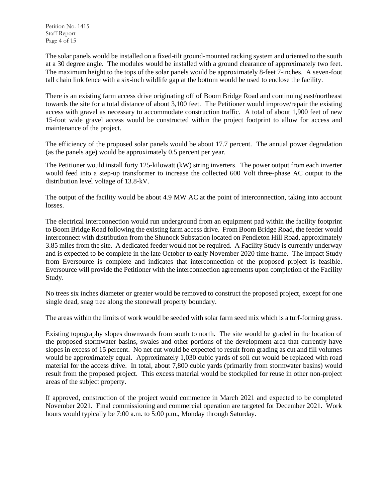The solar panels would be installed on a fixed-tilt ground-mounted racking system and oriented to the south at a 30 degree angle. The modules would be installed with a ground clearance of approximately two feet. The maximum height to the tops of the solar panels would be approximately 8-feet 7-inches. A seven-foot tall chain link fence with a six-inch wildlife gap at the bottom would be used to enclose the facility.

There is an existing farm access drive originating off of Boom Bridge Road and continuing east/northeast towards the site for a total distance of about 3,100 feet. The Petitioner would improve/repair the existing access with gravel as necessary to accommodate construction traffic. A total of about 1,900 feet of new 15-foot wide gravel access would be constructed within the project footprint to allow for access and maintenance of the project.

The efficiency of the proposed solar panels would be about 17.7 percent. The annual power degradation (as the panels age) would be approximately 0.5 percent per year.

The Petitioner would install forty 125-kilowatt (kW) string inverters. The power output from each inverter would feed into a step-up transformer to increase the collected 600 Volt three-phase AC output to the distribution level voltage of 13.8-kV.

The output of the facility would be about 4.9 MW AC at the point of interconnection, taking into account losses.

The electrical interconnection would run underground from an equipment pad within the facility footprint to Boom Bridge Road following the existing farm access drive. From Boom Bridge Road, the feeder would interconnect with distribution from the Shunock Substation located on Pendleton Hill Road, approximately 3.85 miles from the site. A dedicated feeder would not be required. A Facility Study is currently underway and is expected to be complete in the late October to early November 2020 time frame. The Impact Study from Eversource is complete and indicates that interconnection of the proposed project is feasible. Eversource will provide the Petitioner with the interconnection agreements upon completion of the Facility Study.

No trees six inches diameter or greater would be removed to construct the proposed project, except for one single dead, snag tree along the stonewall property boundary.

The areas within the limits of work would be seeded with solar farm seed mix which is a turf-forming grass.

Existing topography slopes downwards from south to north. The site would be graded in the location of the proposed stormwater basins, swales and other portions of the development area that currently have slopes in excess of 15 percent. No net cut would be expected to result from grading as cut and fill volumes would be approximately equal. Approximately 1,030 cubic yards of soil cut would be replaced with road material for the access drive. In total, about 7,800 cubic yards (primarily from stormwater basins) would result from the proposed project. This excess material would be stockpiled for reuse in other non-project areas of the subject property.

If approved, construction of the project would commence in March 2021 and expected to be completed November 2021. Final commissioning and commercial operation are targeted for December 2021. Work hours would typically be 7:00 a.m. to 5:00 p.m., Monday through Saturday.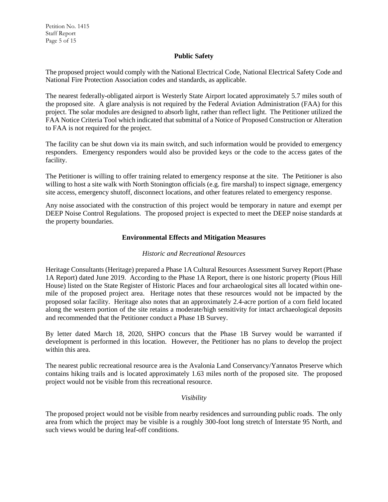# **Public Safety**

The proposed project would comply with the National Electrical Code, National Electrical Safety Code and National Fire Protection Association codes and standards, as applicable.

The nearest federally-obligated airport is Westerly State Airport located approximately 5.7 miles south of the proposed site. A glare analysis is not required by the Federal Aviation Administration (FAA) for this project. The solar modules are designed to absorb light, rather than reflect light. The Petitioner utilized the FAA Notice Criteria Tool which indicated that submittal of a Notice of Proposed Construction or Alteration to FAA is not required for the project.

The facility can be shut down via its main switch, and such information would be provided to emergency responders. Emergency responders would also be provided keys or the code to the access gates of the facility.

The Petitioner is willing to offer training related to emergency response at the site. The Petitioner is also willing to host a site walk with North Stonington officials (e.g. fire marshal) to inspect signage, emergency site access, emergency shutoff, disconnect locations, and other features related to emergency response.

Any noise associated with the construction of this project would be temporary in nature and exempt per DEEP Noise Control Regulations. The proposed project is expected to meet the DEEP noise standards at the property boundaries.

# **Environmental Effects and Mitigation Measures**

# *Historic and Recreational Resources*

Heritage Consultants (Heritage) prepared a Phase 1A Cultural Resources Assessment Survey Report (Phase 1A Report) dated June 2019. According to the Phase 1A Report, there is one historic property (Pious Hill House) listed on the State Register of Historic Places and four archaeological sites all located within onemile of the proposed project area. Heritage notes that these resources would not be impacted by the proposed solar facility. Heritage also notes that an approximately 2.4-acre portion of a corn field located along the western portion of the site retains a moderate/high sensitivity for intact archaeological deposits and recommended that the Petitioner conduct a Phase 1B Survey.

By letter dated March 18, 2020, SHPO concurs that the Phase 1B Survey would be warranted if development is performed in this location. However, the Petitioner has no plans to develop the project within this area.

The nearest public recreational resource area is the Avalonia Land Conservancy/Yannatos Preserve which contains hiking trails and is located approximately 1.63 miles north of the proposed site. The proposed project would not be visible from this recreational resource.

# *Visibility*

The proposed project would not be visible from nearby residences and surrounding public roads. The only area from which the project may be visible is a roughly 300-foot long stretch of Interstate 95 North, and such views would be during leaf-off conditions.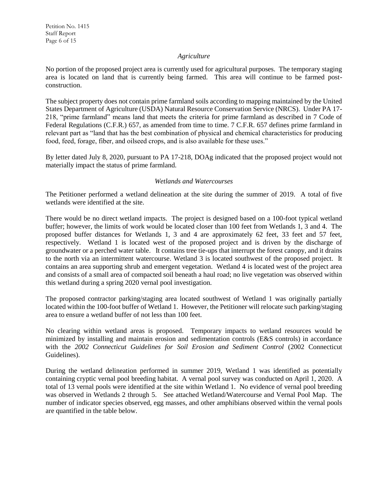# *Agriculture*

No portion of the proposed project area is currently used for agricultural purposes. The temporary staging area is located on land that is currently being farmed. This area will continue to be farmed postconstruction.

The subject property does not contain prime farmland soils according to mapping maintained by the United States Department of Agriculture (USDA) Natural Resource Conservation Service (NRCS). Under PA 17- 218, "prime farmland" means land that meets the criteria for prime farmland as described in 7 Code of Federal Regulations (C.F.R.) 657, as amended from time to time. 7 C.F.R. 657 defines prime farmland in relevant part as "land that has the best combination of physical and chemical characteristics for producing food, feed, forage, fiber, and oilseed crops, and is also available for these uses."

By letter dated July 8, 2020, pursuant to PA 17-218, DOAg indicated that the proposed project would not materially impact the status of prime farmland.

# *Wetlands and Watercourses*

The Petitioner performed a wetland delineation at the site during the summer of 2019. A total of five wetlands were identified at the site.

There would be no direct wetland impacts. The project is designed based on a 100-foot typical wetland buffer; however, the limits of work would be located closer than 100 feet from Wetlands 1, 3 and 4. The proposed buffer distances for Wetlands 1, 3 and 4 are approximately 62 feet, 33 feet and 57 feet, respectively. Wetland 1 is located west of the proposed project and is driven by the discharge of groundwater or a perched water table. It contains tree tie-ups that interrupt the forest canopy, and it drains to the north via an intermittent watercourse. Wetland 3 is located southwest of the proposed project. It contains an area supporting shrub and emergent vegetation. Wetland 4 is located west of the project area and consists of a small area of compacted soil beneath a haul road; no live vegetation was observed within this wetland during a spring 2020 vernal pool investigation.

The proposed contractor parking/staging area located southwest of Wetland 1 was originally partially located within the 100-foot buffer of Wetland 1. However, the Petitioner will relocate such parking/staging area to ensure a wetland buffer of not less than 100 feet.

No clearing within wetland areas is proposed. Temporary impacts to wetland resources would be minimized by installing and maintain erosion and sedimentation controls (E&S controls) in accordance with the *2002 Connecticut Guidelines for Soil Erosion and Sediment Control (2002 Connecticut* Guidelines).

During the wetland delineation performed in summer 2019, Wetland 1 was identified as potentially containing cryptic vernal pool breeding habitat. A vernal pool survey was conducted on April 1, 2020. A total of 13 vernal pools were identified at the site within Wetland 1. No evidence of vernal pool breeding was observed in Wetlands 2 through 5. See attached Wetland/Watercourse and Vernal Pool Map. The number of indicator species observed, egg masses, and other amphibians observed within the vernal pools are quantified in the table below.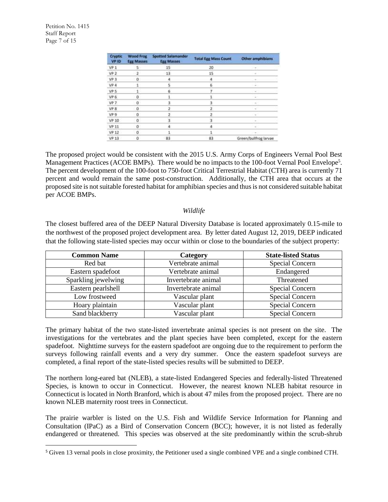$\overline{a}$ 

| Cryptic<br>VP ID | Wood Frog<br><b>Egg Masses</b> | Spotted Salamander<br><b>Egg Masses</b> | <b>Total Egg Mass Count</b> | Other amphibians      |
|------------------|--------------------------------|-----------------------------------------|-----------------------------|-----------------------|
| VP <sub>1</sub>  | $5 -$                          | 15                                      | 20                          | $-$                   |
| VP <sub>2</sub>  | $2^{\circ}$                    | 13                                      | 15                          | $\sim$                |
| VP <sub>3</sub>  | ū                              | 4                                       | $\overline{a}$              |                       |
| VP 4             |                                | 5                                       | $\overline{6}$              |                       |
| VP 5             |                                | 6                                       |                             |                       |
| VP 6             | ö                              |                                         |                             |                       |
| VP 7             | o                              | R                                       | a,                          | ×                     |
| VP 8             | o                              |                                         | 2                           |                       |
| VP 9             | Ŭ                              | 2                                       | 2                           |                       |
| VP 10            | $\alpha$                       | з                                       | 3                           |                       |
| VP <sub>11</sub> | o                              |                                         | а                           |                       |
| VP <sub>12</sub> | o                              |                                         |                             |                       |
| <b>VP 13</b>     | Ű                              | 83                                      | 83                          | Green/bullfrog larvae |

The proposed project would be consistent with the 2015 U.S. Army Corps of Engineers Vernal Pool Best Management Practices (ACOE BMPs). There would be no impacts to the 100-foot Vernal Pool Envelope<sup>5</sup>. The percent development of the 100-foot to 750-foot Critical Terrestrial Habitat (CTH) area is currently 71 percent and would remain the same post-construction. Additionally, the CTH area that occurs at the proposed site is not suitable forested habitat for amphibian species and thus is not considered suitable habitat per ACOE BMPs.

#### *Wildlife*

The closest buffered area of the DEEP Natural Diversity Database is located approximately 0.15-mile to the northwest of the proposed project development area. By letter dated August 12, 2019, DEEP indicated that the following state-listed species may occur within or close to the boundaries of the subject property:

| <b>Common Name</b>  | Category            | <b>State-listed Status</b> |
|---------------------|---------------------|----------------------------|
| Red bat             | Vertebrate animal   | Special Concern            |
| Eastern spadefoot   | Vertebrate animal   | Endangered                 |
| Sparkling jewelwing | Invertebrate animal | Threatened                 |
| Eastern pearlshell  | Invertebrate animal | Special Concern            |
| Low frostweed       | Vascular plant      | <b>Special Concern</b>     |
| Hoary plaintain     | Vascular plant      | Special Concern            |
| Sand blackberry     | Vascular plant      | Special Concern            |

The primary habitat of the two state-listed invertebrate animal species is not present on the site. The investigations for the vertebrates and the plant species have been completed, except for the eastern spadefoot. Nighttime surveys for the eastern spadefoot are ongoing due to the requirement to perform the surveys following rainfall events and a very dry summer. Once the eastern spadefoot surveys are completed, a final report of the state-listed species results will be submitted to DEEP.

The northern long-eared bat (NLEB), a state-listed Endangered Species and federally-listed Threatened Species, is known to occur in Connecticut. However, the nearest known NLEB habitat resource in Connecticut is located in North Branford, which is about 47 miles from the proposed project. There are no known NLEB maternity roost trees in Connecticut.

The prairie warbler is listed on the U.S. Fish and Wildlife Service Information for Planning and Consultation (IPaC) as a Bird of Conservation Concern (BCC); however, it is not listed as federally endangered or threatened. This species was observed at the site predominantly within the scrub-shrub

<sup>5</sup> Given 13 vernal pools in close proximity, the Petitioner used a single combined VPE and a single combined CTH.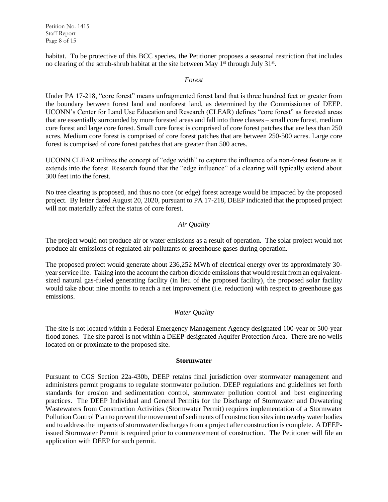Petition No. 1415 Staff Report Page 8 of 15

habitat. To be protective of this BCC species, the Petitioner proposes a seasonal restriction that includes no clearing of the scrub-shrub habitat at the site between May  $1<sup>st</sup>$  through July  $31<sup>st</sup>$ .

#### *Forest*

Under PA 17-218, "core forest" means unfragmented forest land that is three hundred feet or greater from the boundary between forest land and nonforest land, as determined by the Commissioner of DEEP. UCONN's Center for Land Use Education and Research (CLEAR) defines "core forest" as forested areas that are essentially surrounded by more forested areas and fall into three classes – small core forest, medium core forest and large core forest. Small core forest is comprised of core forest patches that are less than 250 acres. Medium core forest is comprised of core forest patches that are between 250-500 acres. Large core forest is comprised of core forest patches that are greater than 500 acres.

UCONN CLEAR utilizes the concept of "edge width" to capture the influence of a non-forest feature as it extends into the forest. Research found that the "edge influence" of a clearing will typically extend about 300 feet into the forest.

No tree clearing is proposed, and thus no core (or edge) forest acreage would be impacted by the proposed project. By letter dated August 20, 2020, pursuant to PA 17-218, DEEP indicated that the proposed project will not materially affect the status of core forest.

# *Air Quality*

The project would not produce air or water emissions as a result of operation. The solar project would not produce air emissions of regulated air pollutants or greenhouse gases during operation.

The proposed project would generate about 236,252 MWh of electrical energy over its approximately 30 year service life. Taking into the account the carbon dioxide emissions that would result from an equivalentsized natural gas-fueled generating facility (in lieu of the proposed facility), the proposed solar facility would take about nine months to reach a net improvement (i.e. reduction) with respect to greenhouse gas emissions.

# *Water Quality*

The site is not located within a Federal Emergency Management Agency designated 100-year or 500-year flood zones. The site parcel is not within a DEEP-designated Aquifer Protection Area. There are no wells located on or proximate to the proposed site.

#### **Stormwater**

Pursuant to CGS Section 22a-430b, DEEP retains final jurisdiction over stormwater management and administers permit programs to regulate stormwater pollution. DEEP regulations and guidelines set forth standards for erosion and sedimentation control, stormwater pollution control and best engineering practices. The DEEP Individual and General Permits for the Discharge of Stormwater and Dewatering Wastewaters from Construction Activities (Stormwater Permit) requires implementation of a Stormwater Pollution Control Plan to prevent the movement of sediments off construction sites into nearby water bodies and to address the impacts of stormwater discharges from a project after construction is complete. A DEEPissued Stormwater Permit is required prior to commencement of construction. The Petitioner will file an application with DEEP for such permit.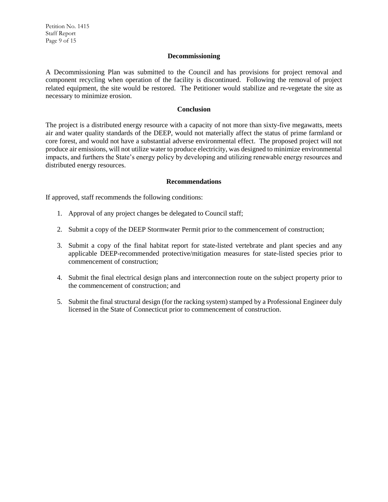Petition No. 1415 Staff Report Page 9 of 15

#### **Decommissioning**

A Decommissioning Plan was submitted to the Council and has provisions for project removal and component recycling when operation of the facility is discontinued. Following the removal of project related equipment, the site would be restored. The Petitioner would stabilize and re-vegetate the site as necessary to minimize erosion.

#### **Conclusion**

The project is a distributed energy resource with a capacity of not more than sixty-five megawatts, meets air and water quality standards of the DEEP, would not materially affect the status of prime farmland or core forest, and would not have a substantial adverse environmental effect. The proposed project will not produce air emissions, will not utilize water to produce electricity, was designed to minimize environmental impacts, and furthers the State's energy policy by developing and utilizing renewable energy resources and distributed energy resources.

#### **Recommendations**

If approved, staff recommends the following conditions:

- 1. Approval of any project changes be delegated to Council staff;
- 2. Submit a copy of the DEEP Stormwater Permit prior to the commencement of construction;
- 3. Submit a copy of the final habitat report for state-listed vertebrate and plant species and any applicable DEEP-recommended protective/mitigation measures for state-listed species prior to commencement of construction;
- 4. Submit the final electrical design plans and interconnection route on the subject property prior to the commencement of construction; and
- 5. Submit the final structural design (for the racking system) stamped by a Professional Engineer duly licensed in the State of Connecticut prior to commencement of construction.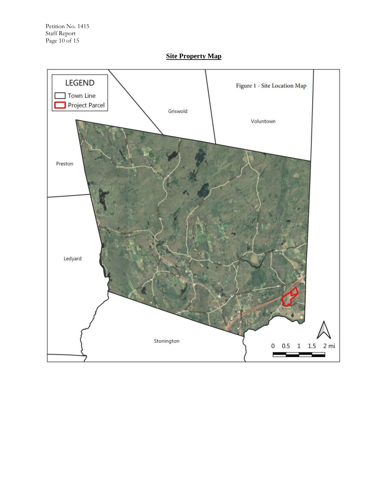

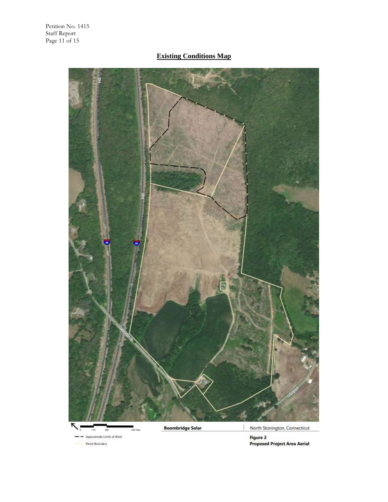- -

Parcel Boundary

# **Existing Conditions Map**



Figure 2<br>Proposed Project Area Aerial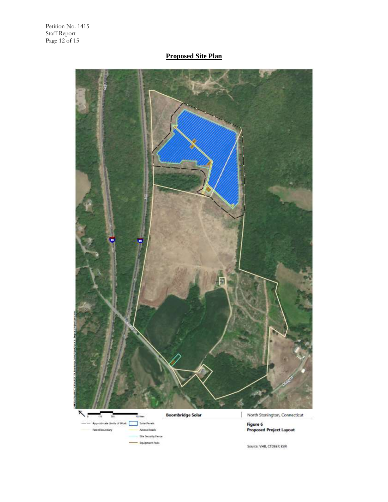# **Proposed Site Plan**

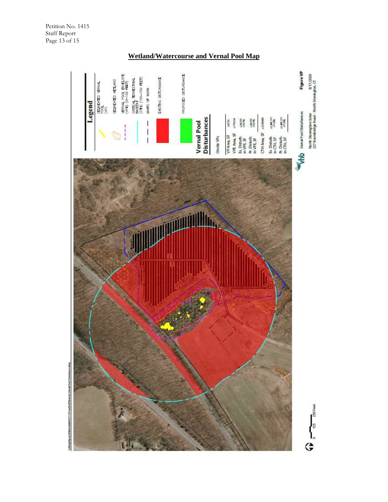Petition No. 1415 Staff Report Page 13 of 15

# **Wetland/Watercourse and Vernal Pool Map**



Pool Disturban Washer Brawl,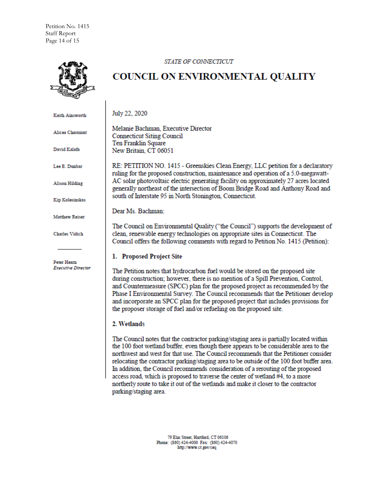Petition No. 1415 Staff Report Page 14 of 15

#### STATE OF CONNECTICUT



# **COUNCIL ON ENVIRONMENTAL QUALITY**

July 22, 2020 Keith Ainsworth Melanie Bachman, Executive Director Alicea Charamut **Connecticut Siting Council** Ten Franklin Square David Kalafa New Britain, CT 06051 Lee E. Dunbar RE: PETITION NO. 1415 - Greenskies Clean Energy, LLC petition for a declaratory ruling for the proposed construction, maintenance and operation of a 5.0-megawatt-AC solar photovoltaic electric generating facility on approximately 27 acres located **Alison Hilding** generally northeast of the intersection of Boom Bridge Road and Anthony Road and south of Interstate 95 in North Stonington, Connecticut. Kip Kolesinskas Dear Ms. Bachman: **Matthew Reiser** The Council on Environmental Quality ("the Council") supports the development of clean, renewable energy technologies on appropriate sites in Connecticut. The **Charles Vidich** Council offers the following comments with regard to Petition No. 1415 (Petition): 1. Proposed Project Site Peter Hearn **Executive Director** The Petition notes that hydrocarbon fuel would be stored on the proposed site during construction; however, there is no mention of a Spill Prevention, Control, and Countermeasure (SPCC) plan for the proposed project as recommended by the Phase I Environmental Survey. The Council recommends that the Petitioner develop and incorporate an SPCC plan for the proposed project that includes provisions for the proposer storage of fuel and/or refueling on the proposed site. 2. Wetlands The Council notes that the contractor parking/staging area is partially located within the 100 foot wetland buffer, even though there appears to be considerable area to the northwest and west for that use. The Council recommends that the Petitioner consider

relocating the contractor parking/staging area to be outside of the 100 foot buffer area. In addition, the Council recommends consideration of a rerouting of the proposed access road, which is proposed to traverse the center of wetland #4, to a more northerly route to take it out of the wetlands and make it closer to the contractor parking/staging area.

> 79 Elm Street, Hartford, CT 06106 Phone: (860) 424-4000 Fax: (860) 424-4070 http://www.ct.gov/ceq